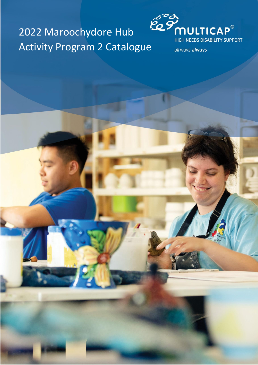# 2022 Maroochydore Hub Activity Program 2 Catalogue



all ways.always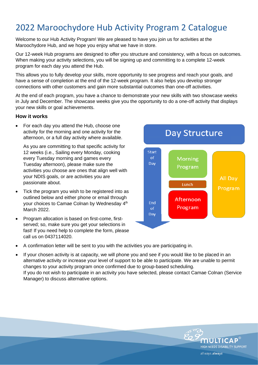# 2022 Maroochydore Hub Activity Program 2 Catalogue

Welcome to our Hub Activity Program! We are pleased to have you join us for activities at the Maroochydore Hub, and we hope you enjoy what we have in store.

Our 12-week Hub programs are designed to offer you structure and consistency, with a focus on outcomes. When making your activity selections, you will be signing up and committing to a complete 12-week program for each day you attend the Hub.

This allows you to fully develop your skills, more opportunity to see progress and reach your goals, and have a sense of completion at the end of the 12-week program. It also helps you develop stronger connections with other customers and gain more substantial outcomes than one-off activities.

At the end of each program, you have a chance to demonstrate your new skills with two showcase weeks in July and December. The showcase weeks give you the opportunity to do a one-off activity that displays your new skills or goal achievements.

#### **How it works**

• For each day you attend the Hub, choose one activity for the morning and one activity for the afternoon, or a full day activity where available.

As you are committing to that specific activity for 12 weeks (i.e., Sailing every Monday, cooking every Tuesday morning and games every Tuesday afternoon), please make sure the activities you choose are ones that align well with your NDIS goals, or are activities you are passionate about.

- Tick the program you wish to be registered into as outlined below and either phone or email through your choices to Camae Colnan by Wednesday 4<sup>th</sup> March 2022.
- Program allocation is based on first-come, firstserved; so, make sure you get your selections in fast! If you need help to complete the form, please call us on 0437114020.
- **Day Structure** Start of **Morning** Day Program **All Dav** Lunch Program Afternoon End Program  $\alpha$ f Day

MULTIC

all ways.always

HIGH NEEDS DISABILITY SUPPORT

- A confirmation letter will be sent to you with the activities you are participating in.
- If your chosen activity is at capacity, we will phone you and see if you would like to be placed in an alternative activity or increase your level of support to be able to participate. We are unable to permit changes to your activity program once confirmed due to group-based scheduling. If you do not wish to participate in an activity you have selected, please contact Camae Colnan (Service Manager) to discuss alternative options.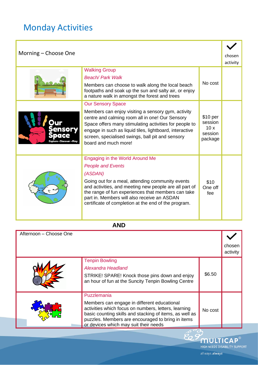# Monday Activities

| Morning – Choose One |                                                                                                                                                                                                                                                                                                        |                                                             | chosen   |
|----------------------|--------------------------------------------------------------------------------------------------------------------------------------------------------------------------------------------------------------------------------------------------------------------------------------------------------|-------------------------------------------------------------|----------|
|                      |                                                                                                                                                                                                                                                                                                        |                                                             | activity |
|                      | <b>Walking Group</b>                                                                                                                                                                                                                                                                                   |                                                             |          |
|                      | <b>Beach/Park Walk</b>                                                                                                                                                                                                                                                                                 |                                                             |          |
|                      | Members can choose to walk along the local beach<br>footpaths and soak up the sun and salty air, or enjoy<br>a nature walk in amongst the forest and trees                                                                                                                                             | No cost                                                     |          |
|                      | <b>Our Sensory Space</b>                                                                                                                                                                                                                                                                               |                                                             |          |
|                      | Members can enjoy visiting a sensory gym, activity<br>centre and calming room all in one! Our Sensory<br>Space offers many stimulating activities for people to<br>engage in such as liquid tiles, lightboard, interactive<br>screen, specialised swings, ball pit and sensory<br>board and much more! | \$10 <sub>per</sub><br>session<br>10x<br>session<br>package |          |
|                      | Engaging in the World Around Me                                                                                                                                                                                                                                                                        |                                                             |          |
|                      | <b>People and Events</b>                                                                                                                                                                                                                                                                               |                                                             |          |
|                      | (ASDAN)                                                                                                                                                                                                                                                                                                |                                                             |          |
|                      | Going out for a meal, attending community events<br>and activities, and meeting new people are all part of<br>the range of fun experiences that members can take<br>part in. Members will also receive an ASDAN<br>certificate of completion at the end of the program.                                | \$10<br>One off<br>fee                                      |          |

#### **AND**

| Afternoon – Choose One |                                                                                                                                                                                                                                                                             |         |                    |
|------------------------|-----------------------------------------------------------------------------------------------------------------------------------------------------------------------------------------------------------------------------------------------------------------------------|---------|--------------------|
|                        |                                                                                                                                                                                                                                                                             |         | chosen<br>activity |
|                        | <b>Tenpin Bowling</b><br>Alexandra Headland<br>STRIKE! SPARE! Knock those pins down and enjoy<br>an hour of fun at the Suncity Tenpin Bowling Centre                                                                                                                        | \$6.50  |                    |
|                        | Puzzlemania<br>Members can engage in different educational<br>activities which focus on numbers, letters, learning<br>basic counting skills and stacking of items, as well as<br>puzzles. Members are encouraged to bring in items<br>or devices which may suit their needs | No cost |                    |

MULTICAP® HIGH NEEDS DISABILITY SUPPORT

 $925$ 

all ways.always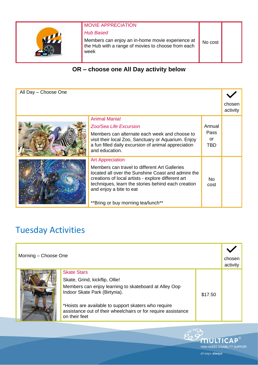

## MOVIE APPRECIATION

#### *Hub Based*

Members can enjoy an in-home movie experience at the Hub with a range of movies to choose from each week

## **OR – choose one All Day activity below**

| All Day - Choose One |                                                                                                                                                                                                                                            |             |                    |
|----------------------|--------------------------------------------------------------------------------------------------------------------------------------------------------------------------------------------------------------------------------------------|-------------|--------------------|
|                      |                                                                                                                                                                                                                                            |             | chosen<br>activity |
|                      | <b>Animal Mania!</b>                                                                                                                                                                                                                       |             |                    |
|                      | Zoo/Sea Life Excursion                                                                                                                                                                                                                     | Annual      |                    |
|                      | Members can alternate each week and choose to                                                                                                                                                                                              | <b>Pass</b> |                    |
|                      | visit their local Zoo, Sanctuary or Aquarium. Enjoy                                                                                                                                                                                        | or          |                    |
|                      | a fun filled daily excursion of animal appreciation<br>and education.                                                                                                                                                                      | TBD.        |                    |
|                      | <b>Art Appreciation</b>                                                                                                                                                                                                                    |             |                    |
|                      | Members can travel to different Art Galleries<br>located all over the Sunshine Coast and admire the<br>creations of local artists - explore different art<br>techniques, learn the stories behind each creation<br>and enjoy a bite to eat | No.<br>cost |                    |
|                      | **Bring or buy morning tea/lunch**                                                                                                                                                                                                         |             |                    |

# Tuesday Activities

| Morning – Choose One |                                                                                                                                                                                                                                                                                          | chosen<br>activity |  |
|----------------------|------------------------------------------------------------------------------------------------------------------------------------------------------------------------------------------------------------------------------------------------------------------------------------------|--------------------|--|
|                      | <b>Skate Stars</b><br>Skate, Grind, kickflip, Ollie!<br>Members can enjoy learning to skateboard at Alley Oop<br>Indoor Skate Park (Birtynia).<br>*Hoists are available to support skaters who require<br>assistance out of their wheelchairs or for require assistance<br>on their feet | \$17.50            |  |

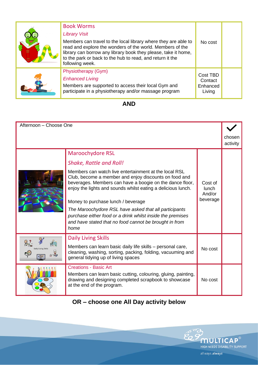| <b>Book Worms</b><br><b>Library Visit</b><br>Members can travel to the local library where they are able to<br>read and explore the wonders of the world. Members of the<br>library can borrow any library book they please, take it home,<br>to the park or back to the hub to read, and return it the<br>following week. | No cost                                   |  |
|----------------------------------------------------------------------------------------------------------------------------------------------------------------------------------------------------------------------------------------------------------------------------------------------------------------------------|-------------------------------------------|--|
| Physiotherapy (Gym)<br><b>Enhanced Living</b><br>Members are supported to access their local Gym and<br>participate in a physiotherapy and/or massage program                                                                                                                                                              | Cost TBD<br>Contact<br>Enhanced<br>Living |  |

### **AND**

| Afternoon - Choose One |                                                                                                                                                                                                                                                                                                                                                                                                                                                                           |                                               |                    |
|------------------------|---------------------------------------------------------------------------------------------------------------------------------------------------------------------------------------------------------------------------------------------------------------------------------------------------------------------------------------------------------------------------------------------------------------------------------------------------------------------------|-----------------------------------------------|--------------------|
|                        |                                                                                                                                                                                                                                                                                                                                                                                                                                                                           |                                               | chosen<br>activity |
|                        | <b>Maroochydore RSL</b>                                                                                                                                                                                                                                                                                                                                                                                                                                                   |                                               |                    |
|                        | <b>Shake, Rattle and Roll!</b>                                                                                                                                                                                                                                                                                                                                                                                                                                            |                                               |                    |
|                        | Members can watch live entertainment at the local RSL<br>Club, become a member and enjoy discounts on food and<br>beverages. Members can have a boogie on the dance floor,<br>enjoy the lights and sounds whilst eating a delicious lunch.<br>Money to purchase lunch / beverage<br>The Maroochydore RSL have asked that all participants<br>purchase either food or a drink whilst inside the premises<br>and have stated that no food cannot be brought in from<br>home | Cost of<br><b>lunch</b><br>And/or<br>beverage |                    |
|                        | <b>Daily Living Skills</b>                                                                                                                                                                                                                                                                                                                                                                                                                                                |                                               |                    |
|                        | Members can learn basic daily life skills – personal care,<br>cleaning, washing, sorting, packing, folding, vacuuming and<br>general tidying up of living spaces                                                                                                                                                                                                                                                                                                          | No cost                                       |                    |
|                        | <b>Creations - Basic Art</b><br>Members can learn basic cutting, colouring, gluing, painting,<br>drawing and designing completed scrapbook to showcase<br>at the end of the program.                                                                                                                                                                                                                                                                                      | No cost                                       |                    |

## **OR – choose one All Day activity below**

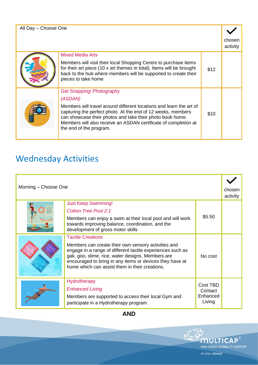| All Day - Choose One |                                                                                                                                                                                                                                                                                                |      |                    |
|----------------------|------------------------------------------------------------------------------------------------------------------------------------------------------------------------------------------------------------------------------------------------------------------------------------------------|------|--------------------|
|                      |                                                                                                                                                                                                                                                                                                |      | chosen<br>activity |
|                      | <b>Mixed Media Arts</b><br>Members will visit their local Shopping Centre to purchase items                                                                                                                                                                                                    |      |                    |
|                      | for their art piece (10 x art themes in total). Items will be brought<br>back to the hub where members will be supported to create their<br>pieces to take home                                                                                                                                | \$12 |                    |
|                      | <b>Get Snapping! Photography</b>                                                                                                                                                                                                                                                               |      |                    |
|                      | (ASDAN)                                                                                                                                                                                                                                                                                        |      |                    |
|                      | Members will travel around different locations and learn the art of<br>capturing the perfect photo. At the end of 12 weeks, members<br>can showcase their photos and take their photo book home.<br>Members will also receive an ASDAN certificate of completion at<br>the end of the program. | \$10 |                    |
|                      |                                                                                                                                                                                                                                                                                                |      |                    |

# Wednesday Activities

| Morning - Choose One |                                                                                                                                                                                                                                                                                                                  | chosen<br>activity                        |  |
|----------------------|------------------------------------------------------------------------------------------------------------------------------------------------------------------------------------------------------------------------------------------------------------------------------------------------------------------|-------------------------------------------|--|
|                      | <b>Just Keep Swimming!</b><br><b>Cotton Tree Pool 2:1</b><br>Members can enjoy a swim at their local pool and will work<br>towards improving balance, coordination, and the<br>development of gross motor skills                                                                                                 | \$5.50                                    |  |
|                      | <b>Tactile Creations</b><br>Members can create their own sensory activities and<br>engage in a range of different tactile experiences such as<br>gak, goo, slime, rice, water designs. Members are<br>encouraged to bring in any items or devices they have at<br>home which can assist them in their creations. | No cost                                   |  |
|                      | <b>Hydrotherapy</b><br><b>Enhanced Living</b><br>Members are supported to access their local Gym and<br>participate in a Hydrotherapy program                                                                                                                                                                    | Cost TBD<br>Contact<br>Enhanced<br>Living |  |

**AND**

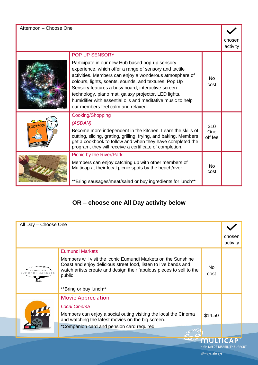| Afternoon - Choose One |  |  |
|------------------------|--|--|
|------------------------|--|--|

| chosen |  |
|--------|--|

| activity |  |
|----------|--|
|          |  |

|                |                                                                                                                                                                                                                                                                                                                                                                                                                                                                   |                        | avuvity |
|----------------|-------------------------------------------------------------------------------------------------------------------------------------------------------------------------------------------------------------------------------------------------------------------------------------------------------------------------------------------------------------------------------------------------------------------------------------------------------------------|------------------------|---------|
|                | POP UP SENSORY<br>Participate in our new Hub based pop-up sensory<br>experience, which offer a range of sensory and tactile<br>activities. Members can enjoy a wonderous atmosphere of<br>colours, lights, scents, sounds, and textures. Pop Up<br>Sensory features a busy board, interactive screen<br>technology, piano mat, galaxy projector, LED lights,<br>humidifier with essential oils and meditative music to help<br>our members feel calm and relaxed. | No.<br>cost            |         |
| <b>OOKBOOK</b> | Cooking/Shopping<br>(ASDAN)<br>Become more independent in the kitchen. Learn the skills of<br>cutting, slicing, grating, grilling, frying, and baking. Members<br>get a cookbook to follow and when they have completed the<br>program, they will receive a certificate of completion.                                                                                                                                                                            | \$10<br>One<br>off fee |         |
|                | Picnic by the River/Park<br>Members can enjoy catching up with other members of<br>Multicap at their local picnic spots by the beach/river.<br>**Bring sausages/meat/salad or buy ingredients for lunch**                                                                                                                                                                                                                                                         | No.<br>cost            |         |

## **OR – choose one All Day activity below**

|             | chosen<br>activity                   |
|-------------|--------------------------------------|
|             |                                      |
| No.<br>cost |                                      |
|             |                                      |
|             |                                      |
|             |                                      |
| \$14.50     |                                      |
|             |                                      |
|             |                                      |
|             | <b>HIGH NEEDS DISABILITY SUPPORT</b> |
|             |                                      |

all ways.always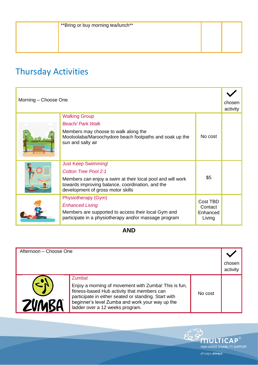# Thursday Activities

| Morning - Choose One |                                                                                                                                                                                                                  |                                           | chosen<br>activity |
|----------------------|------------------------------------------------------------------------------------------------------------------------------------------------------------------------------------------------------------------|-------------------------------------------|--------------------|
|                      | <b>Walking Group</b><br>Beach/ Park Walk<br>Members may choose to walk along the<br>Mooloolaba/Maroochydore beach footpaths and soak up the<br>sun and salty air                                                 | No cost                                   |                    |
|                      | <b>Just Keep Swimming!</b><br><b>Cotton Tree Pool 2:1</b><br>Members can enjoy a swim at their local pool and will work<br>towards improving balance, coordination, and the<br>development of gross motor skills | \$5                                       |                    |
|                      | Physiotherapy (Gym)<br><b>Enhanced Living</b><br>Members are supported to access their local Gym and<br>participate in a physiotherapy and/or massage program                                                    | Cost TBD<br>Contact<br>Enhanced<br>Living |                    |

### **AND**

| Afternoon - Choose One |                                                                                                                                                                                                                                                             |         |                    |
|------------------------|-------------------------------------------------------------------------------------------------------------------------------------------------------------------------------------------------------------------------------------------------------------|---------|--------------------|
|                        |                                                                                                                                                                                                                                                             |         | chosen<br>activity |
| ZVN                    | Zumba!<br>Enjoy a morning of movement with Zumba! This is fun,<br>fitness-based Hub activity that members can<br>participate in either seated or standing. Start with<br>beginner's level Zumba and work your way up the<br>ladder over a 12 weeks program. | No cost |                    |

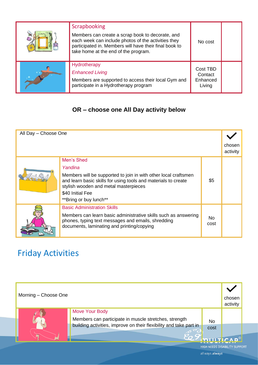| Scrapbooking<br>Members can create a scrap book to decorate, and<br>each week can include photos of the activities they<br>participated in. Members will have their final book to<br>take home at the end of the program. | No cost                                   |  |
|---------------------------------------------------------------------------------------------------------------------------------------------------------------------------------------------------------------------------|-------------------------------------------|--|
| Hydrotherapy<br><b>Enhanced Living</b><br>Members are supported to access their local Gym and<br>participate in a Hydrotherapy program                                                                                    | Cost TBD<br>Contact<br>Enhanced<br>Living |  |

## **OR – choose one All Day activity below**

| All Day - Choose One |                                                                                                                                                                            |             |                    |
|----------------------|----------------------------------------------------------------------------------------------------------------------------------------------------------------------------|-------------|--------------------|
|                      |                                                                                                                                                                            |             | chosen<br>activity |
|                      |                                                                                                                                                                            |             |                    |
|                      | Men's Shed                                                                                                                                                                 |             |                    |
|                      | Yandina                                                                                                                                                                    |             |                    |
|                      | Members will be supported to join in with other local craftsmen<br>and learn basic skills for using tools and materials to create<br>stylish wooden and metal masterpieces | \$5         |                    |
|                      | \$40 Initial Fee                                                                                                                                                           |             |                    |
|                      | **Bring or buy lunch**                                                                                                                                                     |             |                    |
|                      | <b>Basic Administration Skills</b>                                                                                                                                         |             |                    |
|                      | Members can learn basic administrative skills such as answering<br>phones, typing text messages and emails, shredding<br>documents, laminating and printing/copying        | No.<br>cost |                    |

## Friday Activities

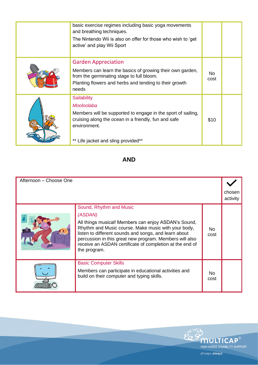| basic exercise regimes including basic yoga movements<br>and breathing techniques.<br>The Nintendo Wii is also on offer for those who wish to 'get<br>active' and play Wii Sport                                |             |  |
|-----------------------------------------------------------------------------------------------------------------------------------------------------------------------------------------------------------------|-------------|--|
| <b>Garden Appreciation</b><br>Members can learn the basics of growing their own garden,<br>from the germinating stage to full bloom.<br>Planting flowers and herbs and tending to their growth<br>needs         | No.<br>cost |  |
| <b>Sailability</b><br>Mooloolaba<br>Members will be supported to engage in the sport of sailing,<br>cruising along the ocean in a friendly, fun and safe<br>environment.<br>** Life jacket and sling provided** | \$10        |  |

#### **AND**

| Afternoon - Choose One |                                                                                                                                                                                                                                                                                                                                                   |             |                    |
|------------------------|---------------------------------------------------------------------------------------------------------------------------------------------------------------------------------------------------------------------------------------------------------------------------------------------------------------------------------------------------|-------------|--------------------|
|                        |                                                                                                                                                                                                                                                                                                                                                   |             | chosen<br>activity |
|                        | Sound, Rhythm and Music<br>(ASDAN)<br>All things musical! Members can enjoy ASDAN's Sound,<br>Rhythm and Music course. Make music with your body,<br>listen to different sounds and songs, and learn about<br>percussion in this great new program. Members will also<br>receive an ASDAN certificate of completion at the end of<br>the program. | No.<br>cost |                    |
|                        | <b>Basic Computer Skills</b><br>Members can participate in educational activities and<br>build on their computer and typing skills.                                                                                                                                                                                                               | No.<br>cost |                    |

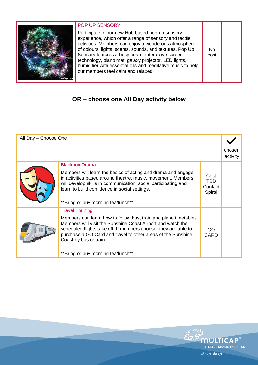

#### POP UP SENSORY

Participate in our new Hub based pop-up sensory experience, which offer a range of sensory and tactile activities. Members can enjoy a wonderous atmosphere of colours, lights, scents, sounds, and textures. Pop Up Sensory features a busy board, interactive screen technology, piano mat, galaxy projector, LED lights, humidifier with essential oils and meditative music to help our members feel calm and relaxed.

## **OR – choose one All Day activity below**

| All Day - Choose One |                                                                                                                                                                                                                                                                                              |                                         |                    |
|----------------------|----------------------------------------------------------------------------------------------------------------------------------------------------------------------------------------------------------------------------------------------------------------------------------------------|-----------------------------------------|--------------------|
|                      |                                                                                                                                                                                                                                                                                              |                                         | chosen<br>activity |
|                      | <b>Blackbox Drama</b>                                                                                                                                                                                                                                                                        |                                         |                    |
|                      | Members will learn the basics of acting and drama and engage<br>in activities based around theatre, music, movement. Members<br>will develop skills in communication, social participating and<br>learn to build confidence in social settings.<br>**Bring or buy morning tea/lunch**        | Cost<br><b>TBD</b><br>Contact<br>Spiral |                    |
|                      | <b>Travel Training</b>                                                                                                                                                                                                                                                                       |                                         |                    |
|                      | Members can learn how to follow bus, train and plane timetables.<br>Members will visit the Sunshine Coast Airport and watch the<br>scheduled flights take off. If members choose, they are able to<br>purchase a GO Card and travel to other areas of the Sunshine<br>Coast by bus or train. | GO.<br>CARD                             |                    |
|                      | **Bring or buy morning tea/lunch**                                                                                                                                                                                                                                                           |                                         |                    |



No cost